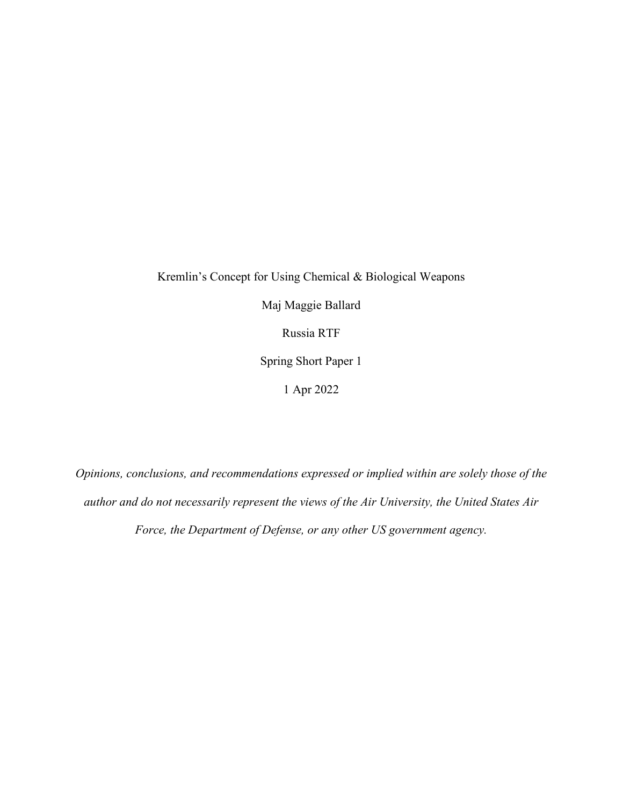Kremlin's Concept for Using Chemical & Biological Weapons Maj Maggie Ballard Russia RTF Spring Short Paper 1 1 Apr 2022

*Opinions, conclusions, and recommendations expressed or implied within are solely those of the author and do not necessarily represent the views of the Air University, the United States Air Force, the Department of Defense, or any other US government agency.*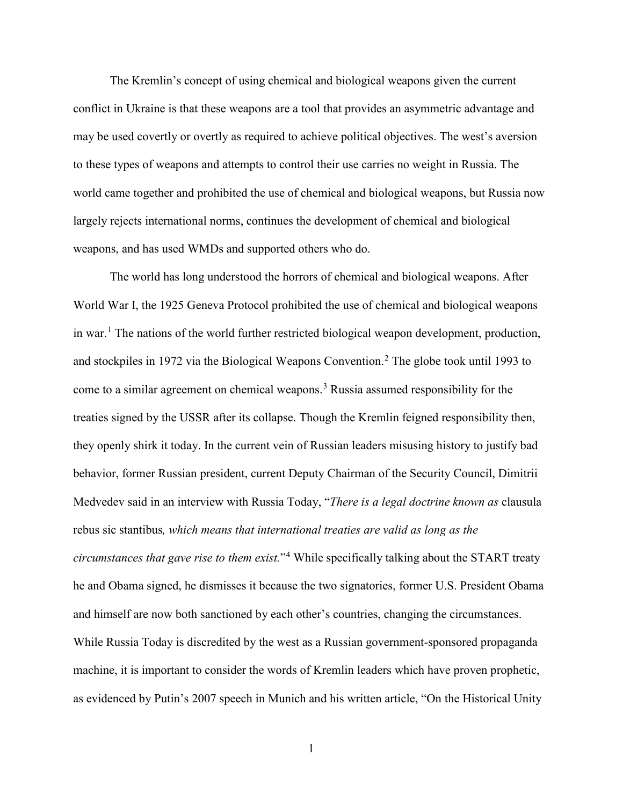The Kremlin's concept of using chemical and biological weapons given the current conflict in Ukraine is that these weapons are a tool that provides an asymmetric advantage and may be used covertly or overtly as required to achieve political objectives. The west's aversion to these types of weapons and attempts to control their use carries no weight in Russia. The world came together and prohibited the use of chemical and biological weapons, but Russia now largely rejects international norms, continues the development of chemical and biological weapons, and has used WMDs and supported others who do.

The world has long understood the horrors of chemical and biological weapons. After World War I, the 1925 Geneva Protocol prohibited the use of chemical and biological weapons in war.<sup>[1](#page-3-0)</sup> The nations of the world further restricted biological weapon development, production, and stockpiles in 197[2](#page-3-1) via the Biological Weapons Convention.<sup>2</sup> The globe took until 1993 to come to a similar agreement on chemical weapons. [3](#page-3-2) Russia assumed responsibility for the treaties signed by the USSR after its collapse. Though the Kremlin feigned responsibility then, they openly shirk it today. In the current vein of Russian leaders misusing history to justify bad behavior, former Russian president, current Deputy Chairman of the Security Council, Dimitrii Medvedev said in an interview with Russia Today, "*There is a legal doctrine known as* clausula rebus sic stantibus*, which means that international treaties are valid as long as the circumstances that gave rise to them exist.*"[4](#page-3-3) While specifically talking about the START treaty he and Obama signed, he dismisses it because the two signatories, former U.S. President Obama and himself are now both sanctioned by each other's countries, changing the circumstances. While Russia Today is discredited by the west as a Russian government-sponsored propaganda machine, it is important to consider the words of Kremlin leaders which have proven prophetic, as evidenced by Putin's 2007 speech in Munich and his written article, "On the Historical Unity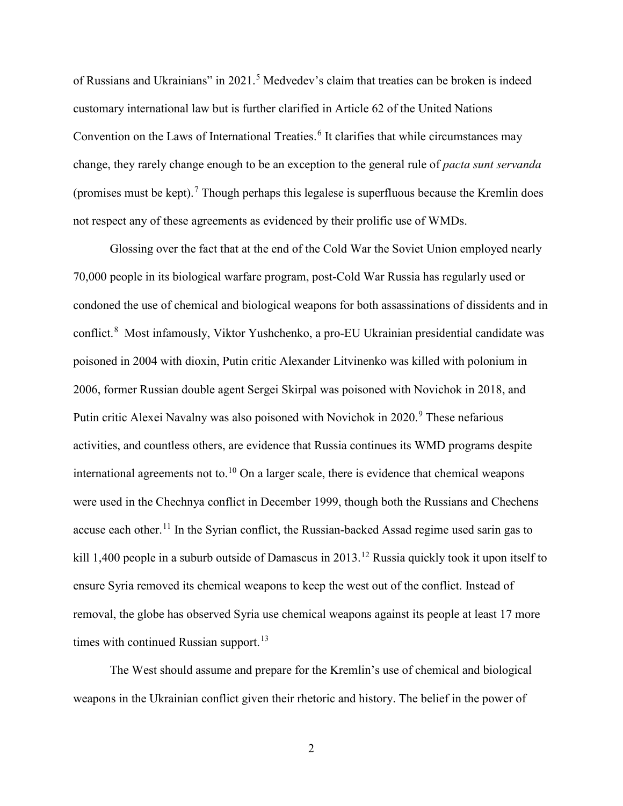of Russians and Ukrainians" in 2021.<sup>[5](#page-3-4)</sup> Medvedev's claim that treaties can be broken is indeed customary international law but is further clarified in Article 62 of the United Nations Convention on the Laws of International Treaties.<sup>[6](#page-3-5)</sup> It clarifies that while circumstances may change, they rarely change enough to be an exception to the general rule of *pacta sunt servanda* (promises must be kept).<sup>[7](#page-3-6)</sup> Though perhaps this legalese is superfluous because the Kremlin does not respect any of these agreements as evidenced by their prolific use of WMDs.

Glossing over the fact that at the end of the Cold War the Soviet Union employed nearly 70,000 people in its biological warfare program, post-Cold War Russia has regularly used or condoned the use of chemical and biological weapons for both assassinations of dissidents and in conflict.<sup>[8](#page-3-7)</sup> Most infamously, Viktor Yushchenko, a pro-EU Ukrainian presidential candidate was poisoned in 2004 with dioxin, Putin critic Alexander Litvinenko was killed with polonium in 2006, former Russian double agent Sergei Skirpal was poisoned with Novichok in 2018, and Putin critic Alexei Navalny was also poisoned with Novichok in 2020.<sup>[9](#page-3-8)</sup> These nefarious activities, and countless others, are evidence that Russia continues its WMD programs despite international agreements not to.<sup>[10](#page-3-9)</sup> On a larger scale, there is evidence that chemical weapons were used in the Chechnya conflict in December 1999, though both the Russians and Chechens accuse each other.<sup>[11](#page-3-10)</sup> In the Syrian conflict, the Russian-backed Assad regime used sarin gas to kill 1,400 people in a suburb outside of Damascus in 2013.<sup>[12](#page-3-11)</sup> Russia quickly took it upon itself to ensure Syria removed its chemical weapons to keep the west out of the conflict. Instead of removal, the globe has observed Syria use chemical weapons against its people at least 17 more times with continued Russian support.<sup>[13](#page-4-0)</sup>

The West should assume and prepare for the Kremlin's use of chemical and biological weapons in the Ukrainian conflict given their rhetoric and history. The belief in the power of

2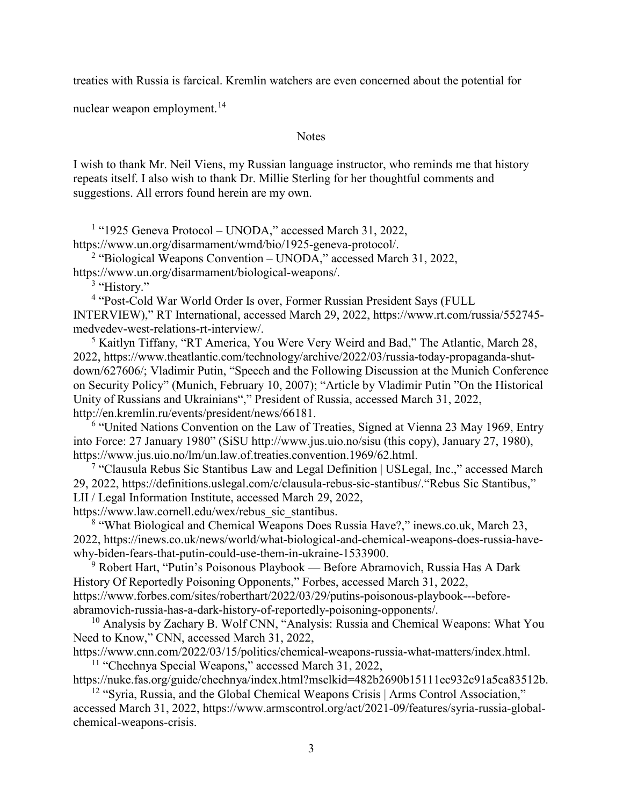treaties with Russia is farcical. Kremlin watchers are even concerned about the potential for

nuclear weapon employment.<sup>[14](#page-4-1)</sup>

Notes

I wish to thank Mr. Neil Viens, my Russian language instructor, who reminds me that history repeats itself. I also wish to thank Dr. Millie Sterling for her thoughtful comments and suggestions. All errors found herein are my own.

<sup>1</sup> "1925 Geneva Protocol – UNODA," accessed March 31, 2022,

<span id="page-3-0"></span>https://www.un.org/disarmament/wmd/bio/1925-geneva-protocol/.

<span id="page-3-2"></span><span id="page-3-1"></span><sup>2</sup> "Biological Weapons Convention – UNODA," accessed March 31, 2022, https://www.un.org/disarmament/biological-weapons/.

<sup>3</sup> "History."

<sup>4</sup> "Post-Cold War World Order Is over, Former Russian President Says (FULL

<span id="page-3-3"></span>INTERVIEW)," RT International, accessed March 29, 2022, https://www.rt.com/russia/552745 medvedev-west-relations-rt-interview/.

<span id="page-3-4"></span><sup>5</sup> Kaitlyn Tiffany, "RT America, You Were Very Weird and Bad," The Atlantic, March 28, 2022, https://www.theatlantic.com/technology/archive/2022/03/russia-today-propaganda-shutdown/627606/; Vladimir Putin, "Speech and the Following Discussion at the Munich Conference on Security Policy" (Munich, February 10, 2007); "Article by Vladimir Putin "On the Historical Unity of Russians and Ukrainians"," President of Russia, accessed March 31, 2022, http://en.kremlin.ru/events/president/news/66181.

<span id="page-3-5"></span><sup>6</sup> "United Nations Convention on the Law of Treaties, Signed at Vienna 23 May 1969, Entry into Force: 27 January 1980" (SiSU http://www.jus.uio.no/sisu (this copy), January 27, 1980), https://www.jus.uio.no/lm/un.law.of.treaties.convention.1969/62.html.

<span id="page-3-6"></span><sup>7</sup> "Clausula Rebus Sic Stantibus Law and Legal Definition | USLegal, Inc.," accessed March 29, 2022, https://definitions.uslegal.com/c/clausula-rebus-sic-stantibus/."Rebus Sic Stantibus," LII / Legal Information Institute, accessed March 29, 2022, https://www.law.cornell.edu/wex/rebus\_sic\_stantibus.

<span id="page-3-7"></span><sup>8</sup> "What Biological and Chemical Weapons Does Russia Have?," inews.co.uk, March 23, 2022, https://inews.co.uk/news/world/what-biological-and-chemical-weapons-does-russia-havewhy-biden-fears-that-putin-could-use-them-in-ukraine-1533900.

<span id="page-3-8"></span><sup>9</sup> Robert Hart, "Putin's Poisonous Playbook — Before Abramovich, Russia Has A Dark History Of Reportedly Poisoning Opponents," Forbes, accessed March 31, 2022, https://www.forbes.com/sites/roberthart/2022/03/29/putins-poisonous-playbook---beforeabramovich-russia-has-a-dark-history-of-reportedly-poisoning-opponents/.

<span id="page-3-9"></span><sup>10</sup> Analysis by Zachary B. Wolf CNN, "Analysis: Russia and Chemical Weapons: What You Need to Know," CNN, accessed March 31, 2022,

<span id="page-3-10"></span>https://www.cnn.com/2022/03/15/politics/chemical-weapons-russia-what-matters/index.html. <sup>11</sup> "Chechnya Special Weapons," accessed March 31, 2022,

https://nuke.fas.org/guide/chechnya/index.html?msclkid=482b2690b15111ec932c91a5ca83512b.

<span id="page-3-11"></span><sup>12</sup> "Syria, Russia, and the Global Chemical Weapons Crisis | Arms Control Association," accessed March 31, 2022, https://www.armscontrol.org/act/2021-09/features/syria-russia-globalchemical-weapons-crisis.